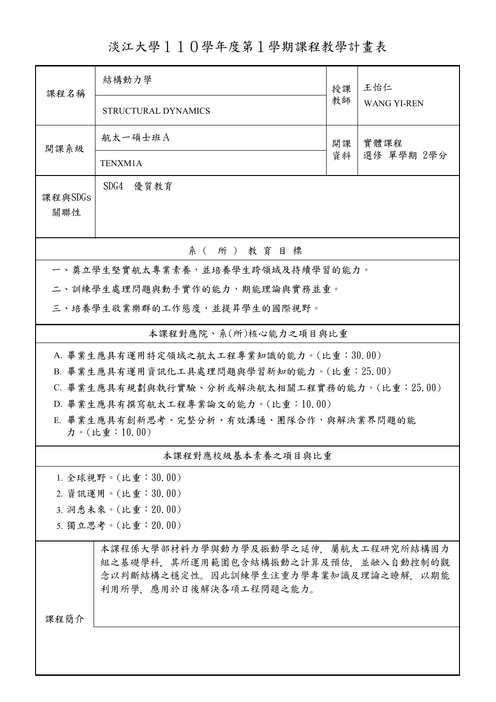淡江大學110學年度第1學期課程教學計畫表

| 課程名稱                                                   | 結構動力學                                                                                                                                       | 授課               | 王怡仁<br><b>WANG YI-REN</b> |  |  |  |  |
|--------------------------------------------------------|---------------------------------------------------------------------------------------------------------------------------------------------|------------------|---------------------------|--|--|--|--|
|                                                        | STRUCTURAL DYNAMICS                                                                                                                         | 教師               |                           |  |  |  |  |
| 開課系級                                                   | 航太一碩士班A                                                                                                                                     | 實體課程<br>開課<br>資料 |                           |  |  |  |  |
|                                                        | TENXM1A                                                                                                                                     |                  | 選修 單學期 2學分                |  |  |  |  |
| 課程與SDGs<br>關聯性                                         | SDG4 優質教育                                                                                                                                   |                  |                           |  |  |  |  |
| 系(所)教育目標                                               |                                                                                                                                             |                  |                           |  |  |  |  |
| 一、奠立學生堅實航太專業素養,並培養學生跨領域及持續學習的能力。                       |                                                                                                                                             |                  |                           |  |  |  |  |
| 二、訓練學生處理問題與動手實作的能力,期能理論與實務並重。                          |                                                                                                                                             |                  |                           |  |  |  |  |
| 三、培養學生敬業樂群的工作態度,並提昇學生的國際視野。                            |                                                                                                                                             |                  |                           |  |  |  |  |
| 本課程對應院、系(所)核心能力之項目與比重                                  |                                                                                                                                             |                  |                           |  |  |  |  |
| A. 畢業生應具有運用特定領域之航太工程專業知識的能力。(比重:30.00)                 |                                                                                                                                             |                  |                           |  |  |  |  |
| B. 畢業生應具有運用資訊化工具處理問題與學習新知的能力。(比重: 25.00)               |                                                                                                                                             |                  |                           |  |  |  |  |
| C. 畢業生應具有規劃與執行實驗、分析或解決航太相關工程實務的能力。(比重:25.00)           |                                                                                                                                             |                  |                           |  |  |  |  |
| D. 畢業生應具有撰寫航太工程專業論文的能力。(比重:10.00)                      |                                                                                                                                             |                  |                           |  |  |  |  |
| E. 畢業生應具有創新思考、完整分析、有效溝通、團隊合作,與解決業界問題的能<br>力。(比重:10.00) |                                                                                                                                             |                  |                           |  |  |  |  |
| 本課程對應校級基本素養之項目與比重                                      |                                                                                                                                             |                  |                           |  |  |  |  |
|                                                        | 1. 全球視野。(比重:30.00)                                                                                                                          |                  |                           |  |  |  |  |
|                                                        | 2. 資訊運用。(比重:30.00)                                                                                                                          |                  |                           |  |  |  |  |
| 3. 洞悉未來。(比重: 20.00)                                    |                                                                                                                                             |                  |                           |  |  |  |  |
| 5. 獨立思考。(比重: 20.00)                                    |                                                                                                                                             |                  |                           |  |  |  |  |
|                                                        | 本課程係大學部材料力學與動力學及振動學之延伸,屬航太工程研究所結構固力<br>組之基礎學科,其所運用範圍包含結構振動之計算及預估,並融入自動控制的觀<br>念以判斷結構之穩定性。因此訓練學生注重力學專業知識及理論之瞭解,以期能<br>利用所學,應用於日後解決各項工程問題之能力。 |                  |                           |  |  |  |  |
| 課程簡介                                                   |                                                                                                                                             |                  |                           |  |  |  |  |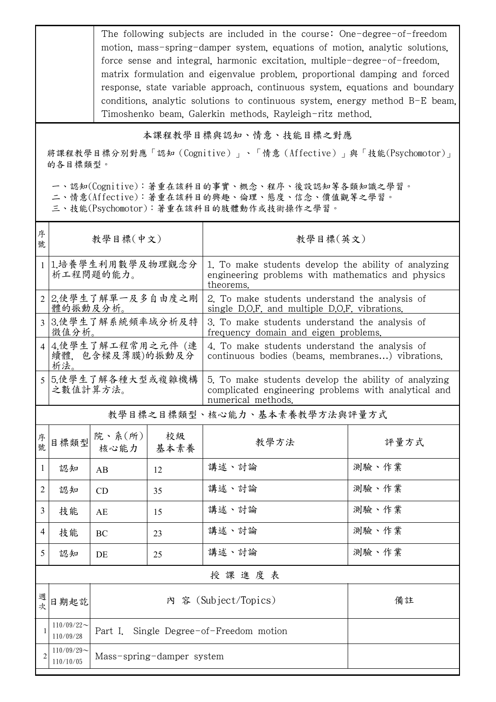The following subjects are included in the course: One-degree-of-freedom motion, mass-spring-damper system, equations of motion, analytic solutions, force sense and integral, harmonic excitation, multiple-degree-of-freedom, matrix formulation and eigenvalue problem, proportional damping and forced response, state variable approach, continuous system, equations and boundary conditions, analytic solutions to continuous system, energy method B-E beam, Timoshenko beam, Galerkin methods, Rayleigh-ritz method.

## 本課程教學目標與認知、情意、技能目標之對應

將課程教學目標分別對應「認知(Cognitive)」、「情意(Affective)」與「技能(Psychomotor)」 的各目標類型。

一、認知(Cognitive):著重在該科目的事實、概念、程序、後設認知等各類知識之學習。

二、情意(Affective):著重在該科目的興趣、倫理、態度、信念、價值觀等之學習。

三、技能(Psychomotor):著重在該科目的肢體動作或技術操作之學習。

| 序<br>號         | 教學目標(中文)                                    |                                            |            | 教學目標(英文)                                                                                                                           |       |  |
|----------------|---------------------------------------------|--------------------------------------------|------------|------------------------------------------------------------------------------------------------------------------------------------|-------|--|
|                | 1.培養學生利用數學及物理觀念分<br>析工程問題的能力。               |                                            |            | 1. To make students develop the ability of analyzing<br>engineering problems with mathematics and physics<br>theorems.             |       |  |
|                | 2.使學生了解單一及多自由度之剛<br>體的振動及分析。                |                                            |            | 2. To make students understand the analysis of<br>single D.O.F. and multiple D.O.F. vibrations.                                    |       |  |
| 3              | 3.使學生了解系統頻率域分析及特<br>徵值分析。                   |                                            |            | 3. To make students understand the analysis of<br>frequency domain and eigen problems.                                             |       |  |
|                | 4.使學生了解工程常用之元件(連<br>續體, 包含樑及薄膜)的振動及分<br>析法。 |                                            |            | 4. To make students understand the analysis of<br>continuous bodies (beams, membranes) vibrations.                                 |       |  |
|                | 5.使學生了解各種大型或複雜機構<br>之數值計算方法。                |                                            |            | 5. To make students develop the ability of analyzing<br>complicated engineering problems with analytical and<br>numerical methods. |       |  |
|                | 教學目標之目標類型、核心能力、基本素養教學方法與評量方式                |                                            |            |                                                                                                                                    |       |  |
| 序<br>號         | 目標類型                                        | 院、系 $(\text{m})$<br>核心能力                   | 校級<br>基本素養 | 教學方法                                                                                                                               | 評量方式  |  |
| 1              | 認知                                          | AB                                         | 12         | 講述、討論                                                                                                                              | 測驗、作業 |  |
| $\overline{2}$ | 認知                                          | CD                                         | 35         | 講述、討論                                                                                                                              | 測驗、作業 |  |
| 3              | 技能                                          | AE                                         | 15         | 講述、討論                                                                                                                              | 測驗、作業 |  |
| $\overline{4}$ | 技能                                          | BC                                         | 23         | 講述、討論                                                                                                                              | 測驗、作業 |  |
| 5              | 認知                                          | DE                                         | 25         | 講述、討論                                                                                                                              | 測驗、作業 |  |
|                | 授課進度表                                       |                                            |            |                                                                                                                                    |       |  |
| 週次             | 日期起訖                                        |                                            | 内          | 容 (Subject/Topics)                                                                                                                 | 備註    |  |
|                | $110/09/22$ ~<br>110/09/28                  | Single Degree-of-Freedom motion<br>Part I. |            |                                                                                                                                    |       |  |
| 2              | $110/09/29$ ~<br>110/10/05                  | Mass-spring-damper system                  |            |                                                                                                                                    |       |  |
|                |                                             |                                            |            |                                                                                                                                    |       |  |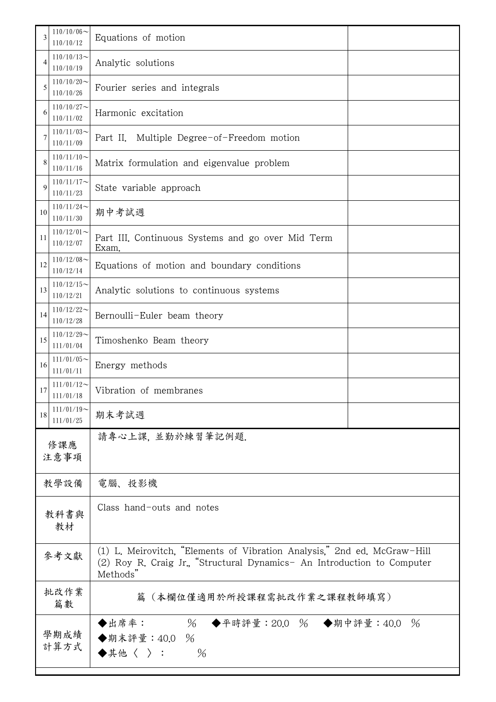| 3            | $110/10/06$ ~<br>110/10/12                            | Equations of motion                                                                                                                                             |  |  |
|--------------|-------------------------------------------------------|-----------------------------------------------------------------------------------------------------------------------------------------------------------------|--|--|
| 4            | $110/10/13$ ~<br>110/10/19                            | Analytic solutions                                                                                                                                              |  |  |
| 5            | $110/10/20$ ~<br>110/10/26                            | Fourier series and integrals                                                                                                                                    |  |  |
| 6            | $110/10/27$ ~<br>110/11/02                            | Harmonic excitation                                                                                                                                             |  |  |
| 7            | $110/11/03$ ~<br>110/11/09                            | Part II. Multiple Degree-of-Freedom motion                                                                                                                      |  |  |
| 8            | $110/11/10$ ~<br>110/11/16                            | Matrix formulation and eigenvalue problem                                                                                                                       |  |  |
| 9            | $110/11/17$ ~<br>State variable approach<br>110/11/23 |                                                                                                                                                                 |  |  |
| 10           | $110/11/24$ ~<br>期中考試週<br>110/11/30                   |                                                                                                                                                                 |  |  |
| 11           | $110/12/01$ ~<br>110/12/07                            | Part III. Continuous Systems and go over Mid Term<br>Exam.                                                                                                      |  |  |
| 12           | $110/12/08$ ~<br>110/12/14                            | Equations of motion and boundary conditions                                                                                                                     |  |  |
| 13           | $110/12/15$ ~<br>110/12/21                            | Analytic solutions to continuous systems                                                                                                                        |  |  |
| 14           | $110/12/22$ ~<br>110/12/28                            | Bernoulli-Euler beam theory                                                                                                                                     |  |  |
| 15           | $110/12/29$ ~<br>111/01/04                            | Timoshenko Beam theory                                                                                                                                          |  |  |
| 16           | $111/01/05$ ~<br>111/01/11                            | Energy methods                                                                                                                                                  |  |  |
| 17           | $111/01/12$ ~<br>111/01/18                            | Vibration of membranes                                                                                                                                          |  |  |
| 18           | $111/01/19$ ~<br>111/01/25                            | 期末考試週                                                                                                                                                           |  |  |
| 修課應<br>注意事項  |                                                       | 請專心上課,並勤於練習筆記例題.                                                                                                                                                |  |  |
|              | 教學設備                                                  | 電腦、投影機                                                                                                                                                          |  |  |
| 教科書與<br>教材   |                                                       | Class hand-outs and notes                                                                                                                                       |  |  |
| 參考文獻         |                                                       | (1) L. Meirovitch, "Elements of Vibration Analysis," 2nd ed. McGraw-Hill<br>(2) Roy R. Craig Jr., "Structural Dynamics- An Introduction to Computer<br>Methods" |  |  |
| 批改作業<br>篇數   |                                                       | 篇(本欄位僅適用於所授課程需批改作業之課程教師填寫)                                                                                                                                      |  |  |
| 學期成績<br>計算方式 |                                                       | % ◆平時評量:20.0 % ◆期中評量:40.0 %<br>◆出席率:<br>◆期末評量: 40.0 %<br>$\blacklozenge$ 其他〈 〉:<br>$\frac{0}{6}$                                                                |  |  |

٦